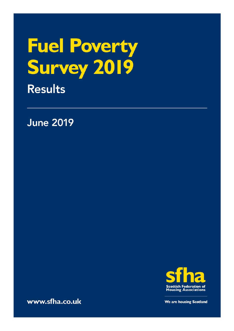# Fuel Poverty<br>Survey 2019 **Results**

**June 2019** 



www.sfha.co.uk

We are housing Scotland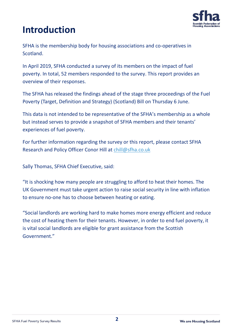

## **Introduction**

SFHA is the membership body for housing associations and co-operatives in Scotland.

In April 2019, SFHA conducted a survey of its members on the impact of fuel poverty. In total, 52 members responded to the survey. This report provides an overview of their responses.

The SFHA has released the findings ahead of the stage three proceedings of the Fuel Poverty (Target, Definition and Strategy) (Scotland) Bill on Thursday 6 June.

This data is not intended to be representative of the SFHA's membership as a whole but instead serves to provide a snapshot of SFHA members and their tenants' experiences of fuel poverty.

For further information regarding the survey or this report, please contact SFHA Research and Policy Officer Conor Hill at [chill@sfha.co.uk](mailto:chill@sfha.co.uk)

Sally Thomas, SFHA Chief Executive, said:

"It is shocking how many people are struggling to afford to heat their homes. The UK Government must take urgent action to raise social security in line with inflation to ensure no-one has to choose between heating or eating.

"Social landlords are working hard to make homes more energy efficient and reduce the cost of heating them for their tenants. However, in order to end fuel poverty, it is vital social landlords are eligible for grant assistance from the Scottish Government."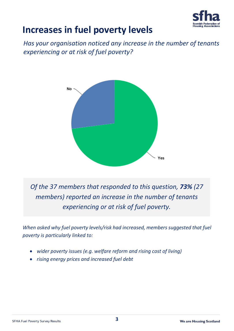

## **Increases in fuel poverty levels**

*Has your organisation noticed any increase in the number of tenants experiencing or at risk of fuel poverty?*



*Of the 37 members that responded to this question, 73% (27 members) reported an increase in the number of tenants experiencing or at risk of fuel poverty.*

*When asked why fuel poverty levels/risk had increased, members suggested that fuel poverty is particularly linked to:*

- *wider poverty issues (e.g. welfare reform and rising cost of living)*
- *rising energy prices and increased fuel debt*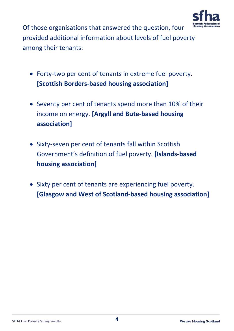

Of those organisations that answered the question, four provided additional information about levels of fuel poverty among their tenants:

- Forty-two per cent of tenants in extreme fuel poverty. **[Scottish Borders-based housing association]**
- Seventy per cent of tenants spend more than 10% of their income on energy. **[Argyll and Bute-based housing association]**
- Sixty-seven per cent of tenants fall within Scottish Government's definition of fuel poverty. **[Islands-based housing association]**
- Sixty per cent of tenants are experiencing fuel poverty. **[Glasgow and West of Scotland-based housing association]**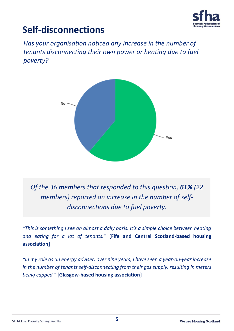

## **Self-disconnections**

*Has your organisation noticed any increase in the number of tenants disconnecting their own power or heating due to fuel poverty?*



*Of the 36 members that responded to this question, 61% (22 members) reported an increase in the number of selfdisconnections due to fuel poverty.*

*"This is something I see on almost a daily basis. It's a simple choice between heating and eating for a lot of tenants."* **[Fife and Central Scotland-based housing association]**

*"In my role as an energy adviser, over nine years, I have seen a year-on-year increase in the number of tenants self-disconnecting from their gas supply, resulting in meters being capped."* **[Glasgow-based housing association]**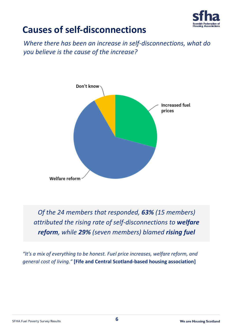

## **Causes of self-disconnections**

*Where there has been an increase in self-disconnections, what do you believe is the cause of the increase?*



*Of the 24 members that responded, 63% (15 members) attributed the rising rate of self-disconnections to welfare reform, while 29% (seven members) blamed rising fuel* 

*"It's a mix of everything to be honest. Fuel price increases, welfare reform, and general cost of living."* **[Fife and Central Scotland-based housing association]**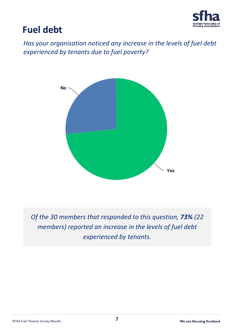

## **Fuel debt**

*Has your organisation noticed any increase in the levels of fuel debt experienced by tenants due to fuel poverty?*



*Of the 30 members that responded to this question, 73% (22 members) reported an increase in the levels of fuel debt experienced by tenants.*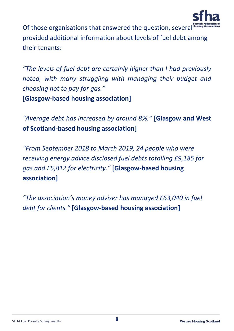

Of those organisations that answered the question, several provided additional information about levels of fuel debt among their tenants:

*"The levels of fuel debt are certainly higher than I had previously noted, with many struggling with managing their budget and choosing not to pay for gas."* 

**[Glasgow-based housing association]**

*"Average debt has increased by around 8%."* **[Glasgow and West of Scotland-based housing association]**

*"From September 2018 to March 2019, 24 people who were receiving energy advice disclosed fuel debts totalling £9,185 for gas and £5,812 for electricity."* **[Glasgow-based housing association]**

*"The association's money adviser has managed £63,040 in fuel debt for clients."* **[Glasgow-based housing association]**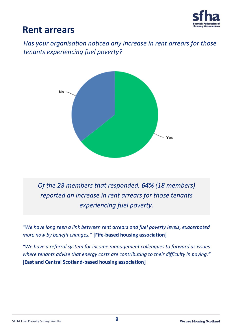

### **Rent arrears**

*Has your organisation noticed any increase in rent arrears for those tenants experiencing fuel poverty?*



*Of the 28 members that responded, 64% (18 members) reported an increase in rent arrears for those tenants experiencing fuel poverty.*

*"We have long seen a link between rent arrears and fuel poverty levels, exacerbated more now by benefit changes."* **[Fife-based housing association]**

*"We have a referral system for income management colleagues to forward us issues where tenants advise that energy costs are contributing to their difficulty in paying."* **[East and Central Scotland-based housing association]**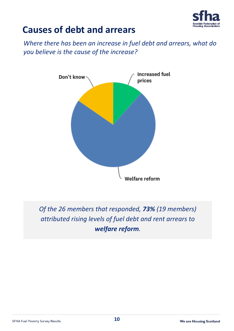

## **Causes of debt and arrears**

*Where there has been an increase in fuel debt and arrears, what do you believe is the cause of the increase?*



*Of the 26 members that responded, 73% (19 members) attributed rising levels of fuel debt and rent arrears to welfare reform.*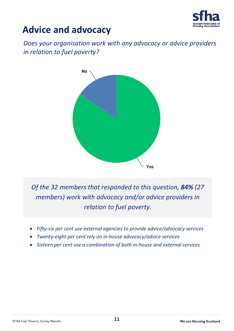

## **Advice and advocacy**

*Does your organisation work with any advocacy or advice providers in relation to fuel poverty?*



*Of the 32 members that responded to this question, 84% (27 members) work with advocacy and/or advice providers in relation to fuel poverty.*

- *Fifty-six per cent use external agencies to provide advice/advocacy services*
- *Twenty-eight per cent rely on in-house advocacy/advice services*
- *Sixteen per cent use a combination of both in-house and external services*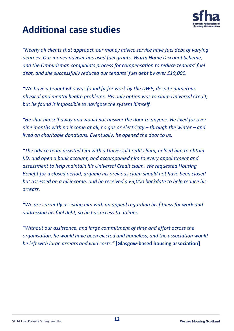

## **Additional case studies**

*"Nearly all clients that approach our money advice service have fuel debt of varying degrees. Our money adviser has used fuel grants, Warm Home Discount Scheme, and the Ombudsman complaints process for compensation to reduce tenants' fuel debt, and she successfully reduced our tenants' fuel debt by over £19,000.* 

*"We have a tenant who was found fit for work by the DWP, despite numerous physical and mental health problems. His only option was to claim Universal Credit, but he found it impossible to navigate the system himself.* 

*"He shut himself away and would not answer the door to anyone. He lived for over nine months* with no income at all, no gas or electricity – through the winter – and *lived on charitable donations. Eventually, he opened the door to us.* 

*"The advice team assisted him with a Universal Credit claim, helped him to obtain I.D. and open a bank account, and accompanied him to every appointment and assessment to help maintain his Universal Credit claim. We requested Housing Benefit for a closed period, arguing his previous claim should not have been closed but assessed on a nil income, and he received a £3,000 backdate to help reduce his arrears.* 

*"We are currently assisting him with an appeal regarding his fitness for work and addressing his fuel debt, so he has access to utilities.* 

*"Without our assistance, and large commitment of time and effort across the organisation, he would have been evicted and homeless, and the association would be left with large arrears and void costs."* **[Glasgow-based housing association]**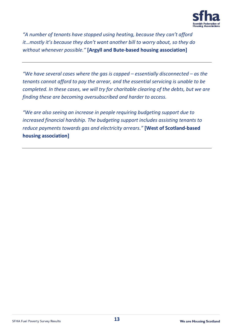

*"A number of tenants have stopped using heating, because they can't afford it…mostly it's because they don't want another bill to worry about, so they do without whenever possible."* **[Argyll and Bute-based housing association]**

*"We have several cases where the gas is capped – essentially disconnected – as the tenants cannot afford to pay the arrear, and the essential servicing is unable to be completed. In these cases, we will try for charitable clearing of the debts, but we are finding these are becoming oversubscribed and harder to access.* 

*"We are also seeing an increase in people requiring budgeting support due to increased financial hardship. The budgeting support includes assisting tenants to reduce payments towards gas and electricity arrears."* **[West of Scotland-based housing association]**